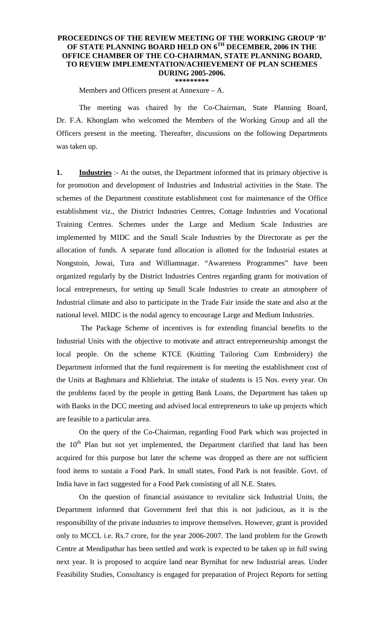## **PROCEEDINGS OF THE REVIEW MEETING OF THE WORKING GROUP 'B' OF STATE PLANNING BOARD HELD ON 6TH DECEMBER, 2006 IN THE OFFICE CHAMBER OF THE CO-CHAIRMAN, STATE PLANNING BOARD, TO REVIEW IMPLEMENTATION/ACHIEVEMENT OF PLAN SCHEMES DURING 2005-2006. \*\*\*\*\*\*\*\*\***

Members and Officers present at Annexure – A.

 The meeting was chaired by the Co-Chairman, State Planning Board, Dr. F.A. Khonglam who welcomed the Members of the Working Group and all the Officers present in the meeting. Thereafter, discussions on the following Departments was taken up.

**1. Industries** :- At the outset, the Department informed that its primary objective is for promotion and development of Industries and Industrial activities in the State. The schemes of the Department constitute establishment cost for maintenance of the Office establishment viz., the District Industries Centres, Cottage Industries and Vocational Training Centres. Schemes under the Large and Medium Scale Industries are implemented by MIDC and the Small Scale Industries by the Directorate as per the allocation of funds. A separate fund allocation is allotted for the Industrial estates at Nongstoin, Jowai, Tura and Williamnagar. "Awareness Programmes" have been organized regularly by the District Industries Centres regarding grants for motivation of local entrepreneurs, for setting up Small Scale Industries to create an atmosphere of Industrial climate and also to participate in the Trade Fair inside the state and also at the national level. MIDC is the nodal agency to encourage Large and Medium Industries.

 The Package Scheme of incentives is for extending financial benefits to the Industrial Units with the objective to motivate and attract entrepreneurship amongst the local people. On the scheme KTCE (Knitting Tailoring Cum Embroidery) the Department informed that the fund requirement is for meeting the establishment cost of the Units at Baghmara and Khliehriat. The intake of students is 15 Nos. every year. On the problems faced by the people in getting Bank Loans, the Department has taken up with Banks in the DCC meeting and advised local entrepreneurs to take up projects which are feasible to a particular area.

 On the query of the Co-Chairman, regarding Food Park which was projected in the  $10<sup>th</sup>$  Plan but not yet implemented, the Department clarified that land has been acquired for this purpose but later the scheme was dropped as there are not sufficient food items to sustain a Food Park. In small states, Food Park is not feasible. Govt. of India have in fact suggested for a Food Park consisting of all N.E. States.

 On the question of financial assistance to revitalize sick Industrial Units, the Department informed that Government feel that this is not judicious, as it is the responsibility of the private industries to improve themselves. However, grant is provided only to MCCL i.e. Rs.7 crore, for the year 2006-2007. The land problem for the Growth Centre at Mendipathar has been settled and work is expected to be taken up in full swing next year. It is proposed to acquire land near Byrnihat for new Industrial areas. Under Feasibility Studies, Consultancy is engaged for preparation of Project Reports for setting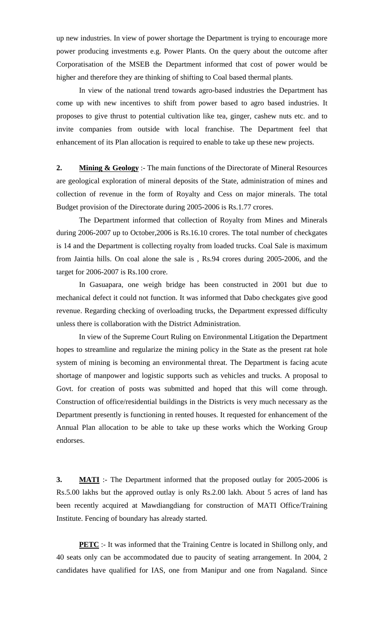up new industries. In view of power shortage the Department is trying to encourage more power producing investments e.g. Power Plants. On the query about the outcome after Corporatisation of the MSEB the Department informed that cost of power would be higher and therefore they are thinking of shifting to Coal based thermal plants.

 In view of the national trend towards agro-based industries the Department has come up with new incentives to shift from power based to agro based industries. It proposes to give thrust to potential cultivation like tea, ginger, cashew nuts etc. and to invite companies from outside with local franchise. The Department feel that enhancement of its Plan allocation is required to enable to take up these new projects.

**2. Mining & Geology** :- The main functions of the Directorate of Mineral Resources are geological exploration of mineral deposits of the State, administration of mines and collection of revenue in the form of Royalty and Cess on major minerals. The total Budget provision of the Directorate during 2005-2006 is Rs.1.77 crores.

 The Department informed that collection of Royalty from Mines and Minerals during 2006-2007 up to October,2006 is Rs.16.10 crores. The total number of checkgates is 14 and the Department is collecting royalty from loaded trucks. Coal Sale is maximum from Jaintia hills. On coal alone the sale is , Rs.94 crores during 2005-2006, and the target for 2006-2007 is Rs.100 crore.

 In Gasuapara, one weigh bridge has been constructed in 2001 but due to mechanical defect it could not function. It was informed that Dabo checkgates give good revenue. Regarding checking of overloading trucks, the Department expressed difficulty unless there is collaboration with the District Administration.

 In view of the Supreme Court Ruling on Environmental Litigation the Department hopes to streamline and regularize the mining policy in the State as the present rat hole system of mining is becoming an environmental threat. The Department is facing acute shortage of manpower and logistic supports such as vehicles and trucks. A proposal to Govt. for creation of posts was submitted and hoped that this will come through. Construction of office/residential buildings in the Districts is very much necessary as the Department presently is functioning in rented houses. It requested for enhancement of the Annual Plan allocation to be able to take up these works which the Working Group endorses.

**3. MATI** :- The Department informed that the proposed outlay for 2005-2006 is Rs.5.00 lakhs but the approved outlay is only Rs.2.00 lakh. About 5 acres of land has been recently acquired at Mawdiangdiang for construction of MATI Office/Training Institute. Fencing of boundary has already started.

**PETC** :- It was informed that the Training Centre is located in Shillong only, and 40 seats only can be accommodated due to paucity of seating arrangement. In 2004, 2 candidates have qualified for IAS, one from Manipur and one from Nagaland. Since